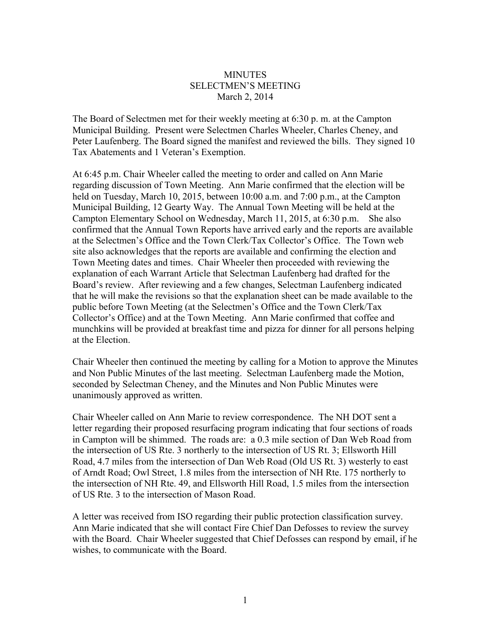## **MINUTES** SELECTMEN'S MEETING March 2, 2014

The Board of Selectmen met for their weekly meeting at 6:30 p. m. at the Campton Municipal Building. Present were Selectmen Charles Wheeler, Charles Cheney, and Peter Laufenberg. The Board signed the manifest and reviewed the bills. They signed 10 Tax Abatements and 1 Veteran's Exemption.

At 6:45 p.m. Chair Wheeler called the meeting to order and called on Ann Marie regarding discussion of Town Meeting. Ann Marie confirmed that the election will be held on Tuesday, March 10, 2015, between 10:00 a.m. and 7:00 p.m., at the Campton Municipal Building, 12 Gearty Way. The Annual Town Meeting will be held at the Campton Elementary School on Wednesday, March 11, 2015, at 6:30 p.m. She also confirmed that the Annual Town Reports have arrived early and the reports are available at the Selectmen's Office and the Town Clerk/Tax Collector's Office. The Town web site also acknowledges that the reports are available and confirming the election and Town Meeting dates and times. Chair Wheeler then proceeded with reviewing the explanation of each Warrant Article that Selectman Laufenberg had drafted for the Board's review. After reviewing and a few changes, Selectman Laufenberg indicated that he will make the revisions so that the explanation sheet can be made available to the public before Town Meeting (at the Selectmen's Office and the Town Clerk/Tax Collector's Office) and at the Town Meeting. Ann Marie confirmed that coffee and munchkins will be provided at breakfast time and pizza for dinner for all persons helping at the Election.

Chair Wheeler then continued the meeting by calling for a Motion to approve the Minutes and Non Public Minutes of the last meeting. Selectman Laufenberg made the Motion, seconded by Selectman Cheney, and the Minutes and Non Public Minutes were unanimously approved as written.

Chair Wheeler called on Ann Marie to review correspondence. The NH DOT sent a letter regarding their proposed resurfacing program indicating that four sections of roads in Campton will be shimmed. The roads are: a 0.3 mile section of Dan Web Road from the intersection of US Rte. 3 northerly to the intersection of US Rt. 3; Ellsworth Hill Road, 4.7 miles from the intersection of Dan Web Road (Old US Rt. 3) westerly to east of Arndt Road; Owl Street, 1.8 miles from the intersection of NH Rte. 175 northerly to the intersection of NH Rte. 49, and Ellsworth Hill Road, 1.5 miles from the intersection of US Rte. 3 to the intersection of Mason Road.

A letter was received from ISO regarding their public protection classification survey. Ann Marie indicated that she will contact Fire Chief Dan Defosses to review the survey with the Board. Chair Wheeler suggested that Chief Defosses can respond by email, if he wishes, to communicate with the Board.